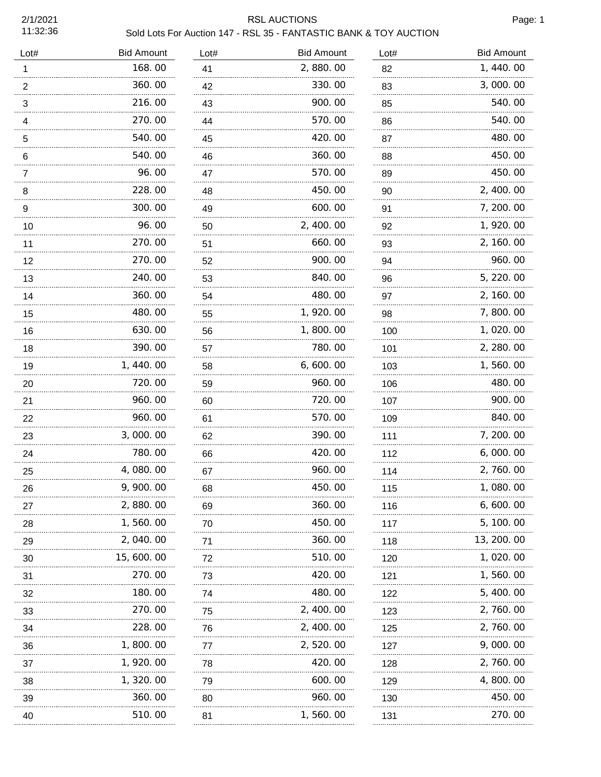2/1/2021 11:32:36

## RSL AUCTIONS Page: 1 Sold Lots For Auction 147 - RSL 35 - FANTASTIC BANK & TOY AUCTION

|  | Sold Lots For Auction 147 - RSL 35 - FANTASTIC BANK & TOY AUCTIO |  |  |  |
|--|------------------------------------------------------------------|--|--|--|
|  |                                                                  |  |  |  |

| <b>Bid Amount</b> | Lot#    | <b>Bid Amount</b> | Lot#     | <b>Bid Amount</b> |
|-------------------|---------|-------------------|----------|-------------------|
| 168.00            | 41      | 2,880.00          | 82       | 1,440.00          |
| 360.00            | 42      | 330.00            | 83       | 3,000.00          |
| 216.00            | 43      | 900.00            | 85       | 540.00            |
| 270.00            | 44      | 570.00            | 86       | 540.00            |
| 540.00            | 45      | 420.00            | 87       | 480.00            |
| 540.00            | 46      | 360.00            | 88       | 450.00            |
| 96.00             | 47      | 570.00            | 89       | 450.00            |
| 228.00            | 48      | 450.00            | 90       | 2, 400.00         |
| 300.00            | 49      | 600.00            | 91       | 7, 200. 00        |
| 96.00             | 50      | 2, 400.00         | 92       | 1, 920.00         |
| 270.00            | 51      | 660.00            | 93       | 2, 160.00         |
| 270.00            | 52      | 900.00            | 94       | 960.00            |
| 240.00            | 53      | 840.00            | 96       | 5, 220.00         |
| 360.00            | 54      | 480.00            | 97       | 2, 160.00         |
| 480.00            | 55      | 1, 920.00         | 98       | 7,800.00          |
| 630.00            | 56      | 1,800.00          | 100      | 1,020.00          |
| 390.00            | 57      | 780.00            | 101      | 2, 280.00         |
| 1,440.00          | 58      | 6,600.00          | 103      | 1,560.00          |
| 720.00            | 59      | 960.00            | 106      | 480.00            |
| 960.00            | 60      | 720.00            | 107      | 900.00            |
| 960.00            | 61      | 570.00            | 109      | 840.00            |
| 3,000.00          | 62      | 390.00            | 111      | 7, 200. 00        |
| 780.00            | 66      | 420.00            | 112      | 6,000.00          |
| 4,080.00          | 67      | 960.00            | 114      | 2, 760.00         |
| 9, 900. 00        | 68      | 450.00            | 115      | 1,080.00          |
| 2,880.00          | 69      | 360.00            | 116      | 6, 600. 00        |
| 1,560.00          | 70      | 450.00            | 117      | 5, 100. 00        |
| 2, 040. 00        | 71      | 360.00            | 118      | 13, 200. 00       |
| 15, 600. 00       | 72      | 510.00            | 120      | 1, 020. 00        |
| 270.00            | 73      | 420.00            | 121      | 1,560.00          |
| 180.00            | 74      | 480.00            | 122      | 5, 400. 00        |
| 270.00            | 75      | 2, 400.00         | 123      | 2, 760.00         |
| 228.00            | 76      | 2, 400.00         | 125      | 2, 760.00         |
| 1, 800. 00        | 77      | 2,520.00          | 127      | 9,000.00          |
| 1, 920.00         | 78      | 420.00            | 128      | 2, 760.00         |
| 1, 320.00         | 79      | 600.00            | 129      | 4, 800. 00        |
| 360.00            | 80<br>. | 960.00            | 130<br>. | 450.00            |
| 510.00            | 81      | 1, 560. 00        | 131      | 270.00            |
|                   | .       |                   |          |                   |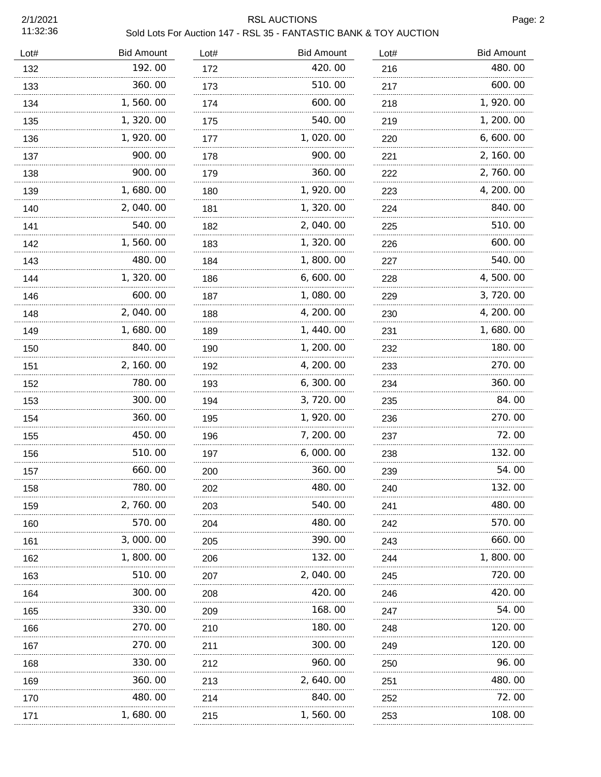2/1/2021 11:32:36

## RSL AUCTIONS Page: 2

|            |      | Sold Lots For Auction 147 - RSL 35 - FANTASTIC BANK & TOY AUCTION |      |
|------------|------|-------------------------------------------------------------------|------|
| Bid Amount | Lot# | <b>Bid Amount</b>                                                 | Lot# |

| Lot# | <b>Bid Amount</b> | Lot# | <b>Bid Amount</b> | Lot# | <b>Bid Amount</b> |
|------|-------------------|------|-------------------|------|-------------------|
| 132  | 192.00            | 172  | 420.00            | 216  | 480.00            |
| 133  | 360.00            | 173  | 510.00            | 217  | 600.00            |
| 134  | 1,560.00          | 174  | 600.00            | 218  | 1, 920.00         |
| 135  | 1,320.00          | 175  | 540.00            | 219  | 1, 200. 00        |
| 136  | 1, 920.00         | 177  | 1,020.00          | 220  | 6, 600. 00        |
| 137  | 900.00            | 178  | 900.00            | 221  | 2, 160. 00        |
| 138  | 900.00            | 179  | 360.00            | 222  | 2, 760.00         |
| 139  | 1,680.00          | 180  | 1, 920.00         | 223  | 4, 200. 00        |
| 140  | 2,040.00          | 181  | 1, 320.00         | 224  | 840.00            |
| 141  | 540.00            | 182  | 2,040.00          | 225  | 510.00            |
| 142  | 1,560.00          | 183  | 1, 320.00         | 226  | 600.00            |
| 143  | 480.00            | 184  | 1,800.00          | 227  | 540.00            |
| 144  | 1, 320. 00        | 186  | 6,600.00          | 228  | 4,500.00          |
| 146  | 600.00            | 187  | 1, 080. 00        | 229  | 3, 720.00         |
| 148  | 2,040.00          | 188  | 4, 200. 00        | 230  | 4, 200. 00        |
| 149  | 1, 680. 00        | 189  | 1, 440.00         | 231  | 1,680.00          |
| 150  | 840.00            | 190  | 1, 200.00         | 232  | 180.00            |
| 151  | 2, 160.00         | 192  | 4, 200. 00        | 233  | 270.00            |
| 152  | 780.00            | 193  | 6, 300. 00        | 234  | 360.00            |
| 153  | 300.00            | 194  | 3,720.00          | 235  | 84.00             |
| 154  | 360.00            | 195  | 1, 920.00         | 236  | 270.00            |
| 155  | 450.00            | 196  | 7, 200.00         | 237  | 72.00             |
| 156  | 510.00            | 197  | 6,000.00          | 238  | 132.00            |
| 157  | 660.00            | 200  | 360.00            | 239  | 54.00             |
| 158  | 780.00            | 202  | 480.00            | 240  | 132.00            |
| 159  | 2,760.00          | 203  | 540.00            | 241  | 480.00            |
| 160  | 570.00            | 204  | 480.00            | 242  | 570.00            |
| 161  | 3,000.00          | 205  | 390.00            | 243  | 660.00            |
| 162  | 1,800.00          | 206  | 132.00            | 244  | 1,800.00          |
| 163  | 510.00            | 207  | 2,040.00          | 245  | 720.00            |
| 164  | 300. 00           | 208  | 420.00            | 246  | 420.00            |
| 165  | 330. 00           | 209  | 168.00            | 247  | 54.00             |
| 166  | 270.00            | 210  | 180.00            | 248  | 120. 00           |
| 167  | 270.00            | 211  | 300.00            | 249  | 120.00            |
| 168  | 330. 00           | 212  | 960.00            | 250  | 96. 00            |
| 169  | 360.00            | 213  | 2, 640.00         | 251  | 480.00            |
| 170  | 480.00            | 214  | 840.00            | 252  | 72.00             |
| 171  | 1,680.00          | 215  | 1,560.00          | 253  | 108.00            |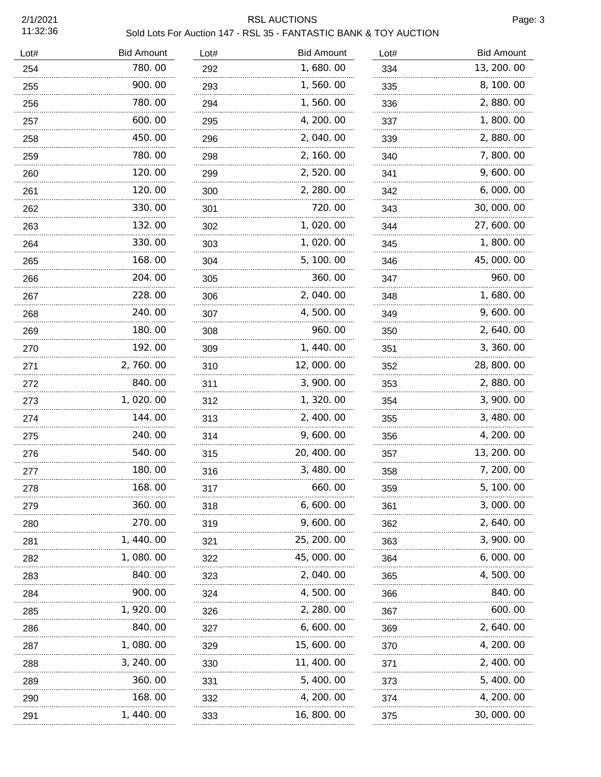2/1/2021 11:32:36

## RSL AUCTIONS Page: 3

| Sold Lots For Auction 147 - RSL 35 - FANTASTIC BANK & TOY AUCTION |  |
|-------------------------------------------------------------------|--|
|-------------------------------------------------------------------|--|

| Lot# | <b>Bid Amount</b> | Lot# | <b>Bid Amount</b> | Lot# | <b>Bid Amount</b> |
|------|-------------------|------|-------------------|------|-------------------|
| 254  | 780.00            | 292  | 1,680.00          | 334  | 13, 200. 00       |
| 255  | 900.00            | 293  | 1,560.00          | 335  | 8, 100. 00        |
| 256  | 780.00            | 294  | 1,560.00          | 336  | 2,880.00          |
| 257  | 600.00            | 295  | 4, 200. 00        | 337  | 1,800.00          |
| 258  | 450.00            | 296  | 2,040.00          | 339  | 2,880.00          |
| 259  | 780.00            | 298  | 2, 160.00         | 340  | 7,800.00          |
| 260  | 120.00            | 299  | 2, 520.00         | 341  | 9,600.00          |
| 261  | 120.00            | 300  | 2, 280.00         | 342  | 6,000.00          |
| 262  | 330.00            | 301  | 720.00            | 343  | 30, 000. 00       |
| 263  | 132.00            | 302  | 1,020.00          | 344  | 27, 600.00        |
| 264  | 330.00            | 303  | 1,020.00          | 345  | 1,800.00          |
| 265  | 168.00            | 304  | 5, 100.00         | 346  | 45,000.00         |
| 266  | 204.00            | 305  | 360.00            | 347  | 960.00            |
| 267  | 228.00            | 306  | 2,040.00          | 348  | 1,680.00          |
| 268  | 240.00            | 307  | 4,500.00          | 349  | 9,600.00          |
| 269  | 180.00            | 308  | 960.00            | 350  | 2, 640.00         |
| 270  | 192.00            | 309  | 1, 440.00         | 351  | 3, 360.00         |
| 271  | 2,760.00          | 310  | 12,000.00         | 352  | 28, 800. 00       |
| 272  | 840.00            | 311  | 3, 900. 00        | 353  | 2,880.00          |
| 273  | 1,020.00          | 312  | 1, 320.00         | 354  | 3, 900. 00        |
| 274  | 144.00            | 313  | 2, 400.00         | 355  | 3, 480.00         |
| 275  | 240.00            | 314  | 9,600.00          | 356  | 4, 200. 00        |
| 276  | 540.00            | 315  | 20, 400. 00       | 357  | 13, 200. 00       |
| 277  | 180.00            | 316  | 3, 480.00         | 358  | 7, 200. 00        |
| 278  | 168.00            | 317  | 660.00            | 359  | 5, 100. 00        |
| 279  | 360.00            | 318  | 6,600.00          | 361  | 3, 000. 00        |
| 280  | 270.00            | 319  | 9, 600. 00        | 362  | 2, 640. 00        |
| 281  | 1, 440. 00        | 321  | 25, 200. 00       | 363  | 3, 900. 00        |
| 282  | 1, 080. 00        | 322  | 45, 000. 00       | 364  | 6,000.00          |
| 283  | 840.00            | 323  | 2, 040. 00        | 365  | 4, 500. 00        |
| 284  | 900.00            | 324  | 4, 500. 00        | 366  | 840.00            |
| 285  | 1, 920. 00        | 326  | 2, 280.00         | 367  | 600.00            |
| 286  | 840.00            | 327  | 6,600.00          | 369  | 2, 640. 00        |
| 287  | 1, 080. 00        | 329  | 15, 600. 00       | 370  | 4, 200. 00        |
| 288  | 3, 240. 00        | 330  | 11, 400. 00       | 371  | 2, 400. 00        |
| 289  | 360.00            | 331  | 5, 400. 00        | 373  | 5, 400. 00        |
| 290  | 168.00            | 332  | 4, 200. 00        | 374  | 4, 200. 00        |
| 291  | <br>1, 440. 00    | 333  | 16, 800. 00       | 375  | 30, 000. 00       |